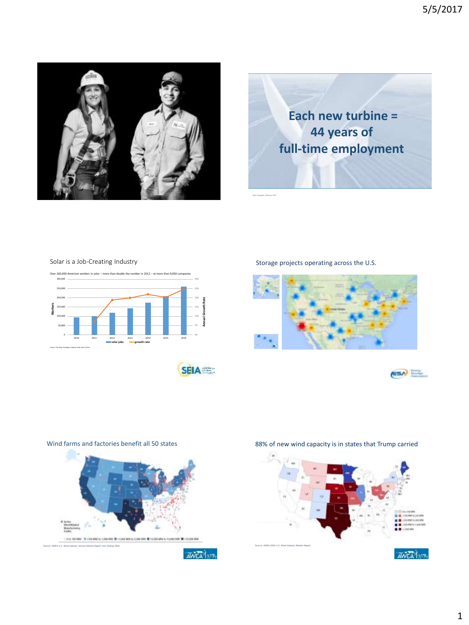



### Solar is a Job-Creating Industry

30% 300,000 Over 260,000 American workers in solar – more than double the number in 2012 – at more than 9,000 companies



**SEIA** 

**AVEA** 1217

Storage projects operating across the U.S.

Data: Navigant, February 2017







Wind farms and factories benefit all 50 states

Source: *AWEA U.S. Wind Industry Annual Market Report Year Ending 2016*



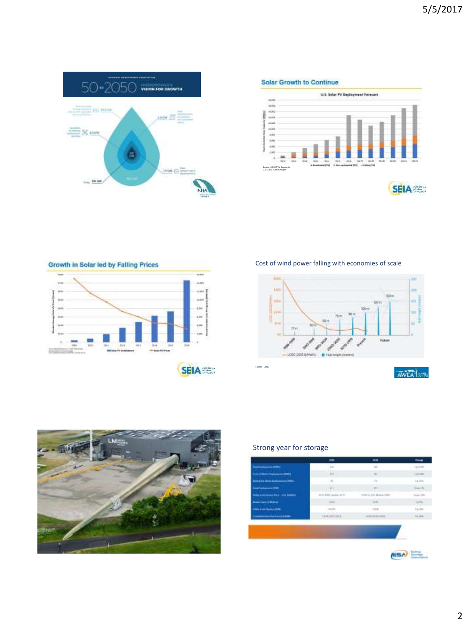

**Solar Growth to Continue** 



Growth in Solar led by Falling Prices u. i. ind  $_{\rm{res}}$  $1144$ pa i.  $\frac{1}{100}$ in.  $\leftrightarrow$ ≕ **SEIA** 

Cost of wind power falling with economies of scale





# Strong year for storage

| -- 12                                           | mu                     | m                         | <b>There</b>           |  |  |
|-------------------------------------------------|------------------------|---------------------------|------------------------|--|--|
| <b>Ing Holeman (MM)</b>                         | $+40 - 7$              | $+ + +$                   | Spaints.               |  |  |
| <b>Profit LP Motor Highwayers (MAPL)</b>        | 39011                  | $\frac{1}{2}$             | <b>LU Livies</b>       |  |  |
| <b>Including the States Classroomers (1980)</b> | $-81$                  | $T\Gamma$                 | Le clie.               |  |  |
| Institutional (MR)                              | $-1111$                | m                         | Time No.               |  |  |
| may bolchome Ford, 114 Schools                  | IDTS 2001 Analys 1111: | (1981) 1246, Molecul 2002 | $1 - 10$               |  |  |
| <b>Numerical or 15 Millions</b>                 | 190 pm                 | $-1249$                   | Tip Pitts<br>Equipment |  |  |
| <b>PRINTED BY THE CARD FOR A</b>                | $-21.60$               | $-0.018$                  |                        |  |  |
| <b>Lowered Wellshop</b>                         | 14992114912            | ADVISED FOR               | 19.096.1               |  |  |
|                                                 |                        |                           |                        |  |  |
|                                                 |                        |                           |                        |  |  |
|                                                 |                        |                           |                        |  |  |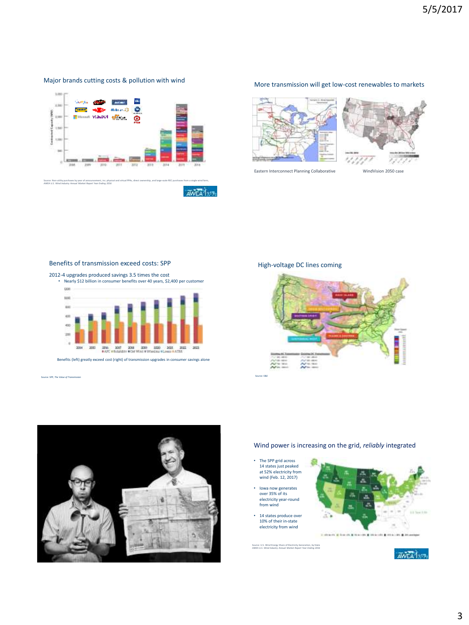### Major brands cutting costs & pollution with wind



#### More transmission will get low-cost renewables to markets



Eastern Interconnect Planning Collaborative WindVision 2050 case



#### Benefits of transmission exceed costs: SPP

2012-4 upgrades produced savings 3.5 times the cost

• Nearly \$12 billion in consumer benefits over 40 years, \$2,400 per customer **COR** 



Benefits (left) greatly exceed cost (right) of transmission upgrades in consumer savings alone

Source: SPP, *The Value of Transmission* Source: E&E



## High-voltage DC lines coming



#### Wind power is increasing on the grid, *reliably* integrated

- The SPP grid across 14 states just peaked at 52% electricity from wind (Feb. 12, 2017) • Iowa now generates
- over 35% of its electricity year-round from wind
- 14 states produce over 10% of their in-state electricity from wind



Source: U.S. Wind Energy Share of Electricity Generation, by State *AWEA U.S. Wind Industry Annual Market Report Year Ending 2016*

**AWEA** 1217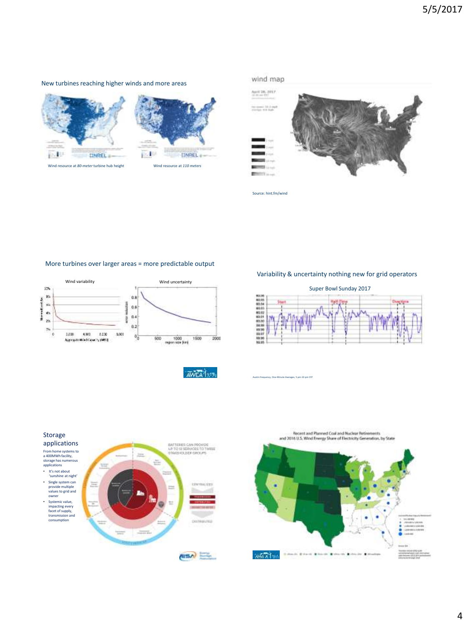#### New turbines reaching higher winds and more areas



Storage





Source: hint.fm/wind

#### More turbines over larger areas = more predictable output



Variability & uncertainty nothing new for grid operators



AWEA 13175





# Super Bowl Sunday 2017

Austin Frequency, One-Minute Averages, 5 pm-10 pm CST